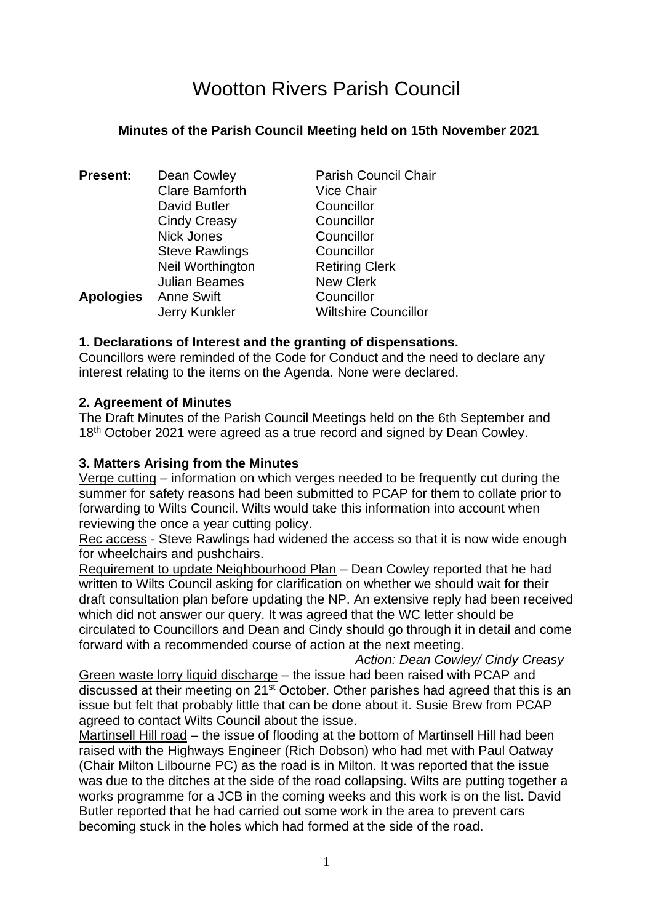# Wootton Rivers Parish Council

## **Minutes of the Parish Council Meeting held on 15th November 2021**

| <b>Present:</b>  | Dean Cowley           | <b>Parish Council Chair</b> |
|------------------|-----------------------|-----------------------------|
|                  | <b>Clare Bamforth</b> | <b>Vice Chair</b>           |
|                  | David Butler          | Councillor                  |
|                  | <b>Cindy Creasy</b>   | Councillor                  |
|                  | <b>Nick Jones</b>     | Councillor                  |
|                  | <b>Steve Rawlings</b> | Councillor                  |
|                  | Neil Worthington      | <b>Retiring Clerk</b>       |
|                  | <b>Julian Beames</b>  | <b>New Clerk</b>            |
| <b>Apologies</b> | <b>Anne Swift</b>     | Councillor                  |
|                  | Jerry Kunkler         | <b>Wiltshire Councillor</b> |

## **1. Declarations of Interest and the granting of dispensations.**

Councillors were reminded of the Code for Conduct and the need to declare any interest relating to the items on the Agenda. None were declared.

#### **2. Agreement of Minutes**

The Draft Minutes of the Parish Council Meetings held on the 6th September and 18<sup>th</sup> October 2021 were agreed as a true record and signed by Dean Cowley.

#### **3. Matters Arising from the Minutes**

Verge cutting – information on which verges needed to be frequently cut during the summer for safety reasons had been submitted to PCAP for them to collate prior to forwarding to Wilts Council. Wilts would take this information into account when reviewing the once a year cutting policy.

Rec access - Steve Rawlings had widened the access so that it is now wide enough for wheelchairs and pushchairs.

Requirement to update Neighbourhood Plan – Dean Cowley reported that he had written to Wilts Council asking for clarification on whether we should wait for their draft consultation plan before updating the NP. An extensive reply had been received which did not answer our query. It was agreed that the WC letter should be circulated to Councillors and Dean and Cindy should go through it in detail and come forward with a recommended course of action at the next meeting.

*Action: Dean Cowley/ Cindy Creasy* 

Green waste lorry liquid discharge – the issue had been raised with PCAP and discussed at their meeting on 21<sup>st</sup> October. Other parishes had agreed that this is an issue but felt that probably little that can be done about it. Susie Brew from PCAP agreed to contact Wilts Council about the issue.

Martinsell Hill road – the issue of flooding at the bottom of Martinsell Hill had been raised with the Highways Engineer (Rich Dobson) who had met with Paul Oatway (Chair Milton Lilbourne PC) as the road is in Milton. It was reported that the issue was due to the ditches at the side of the road collapsing. Wilts are putting together a works programme for a JCB in the coming weeks and this work is on the list. David Butler reported that he had carried out some work in the area to prevent cars becoming stuck in the holes which had formed at the side of the road.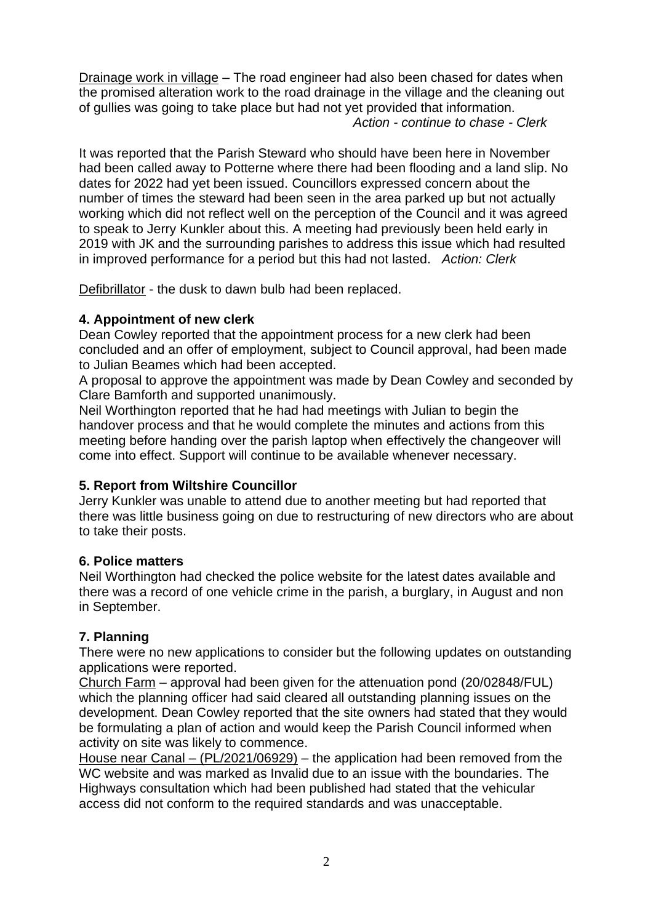Drainage work in village – The road engineer had also been chased for dates when the promised alteration work to the road drainage in the village and the cleaning out of gullies was going to take place but had not yet provided that information.  *Action - continue to chase - Clerk*

It was reported that the Parish Steward who should have been here in November had been called away to Potterne where there had been flooding and a land slip. No dates for 2022 had yet been issued. Councillors expressed concern about the number of times the steward had been seen in the area parked up but not actually working which did not reflect well on the perception of the Council and it was agreed to speak to Jerry Kunkler about this. A meeting had previously been held early in 2019 with JK and the surrounding parishes to address this issue which had resulted in improved performance for a period but this had not lasted. *Action: Clerk*

Defibrillator - the dusk to dawn bulb had been replaced.

# **4. Appointment of new clerk**

Dean Cowley reported that the appointment process for a new clerk had been concluded and an offer of employment, subject to Council approval, had been made to Julian Beames which had been accepted.

A proposal to approve the appointment was made by Dean Cowley and seconded by Clare Bamforth and supported unanimously.

Neil Worthington reported that he had had meetings with Julian to begin the handover process and that he would complete the minutes and actions from this meeting before handing over the parish laptop when effectively the changeover will come into effect. Support will continue to be available whenever necessary.

# **5. Report from Wiltshire Councillor**

Jerry Kunkler was unable to attend due to another meeting but had reported that there was little business going on due to restructuring of new directors who are about to take their posts.

# **6. Police matters**

Neil Worthington had checked the police website for the latest dates available and there was a record of one vehicle crime in the parish, a burglary, in August and non in September.

# **7. Planning**

There were no new applications to consider but the following updates on outstanding applications were reported.

Church Farm – approval had been given for the attenuation pond (20/02848/FUL) which the planning officer had said cleared all outstanding planning issues on the development. Dean Cowley reported that the site owners had stated that they would be formulating a plan of action and would keep the Parish Council informed when activity on site was likely to commence.

House near Canal – (PL/2021/06929) – the application had been removed from the WC website and was marked as Invalid due to an issue with the boundaries. The Highways consultation which had been published had stated that the vehicular access did not conform to the required standards and was unacceptable.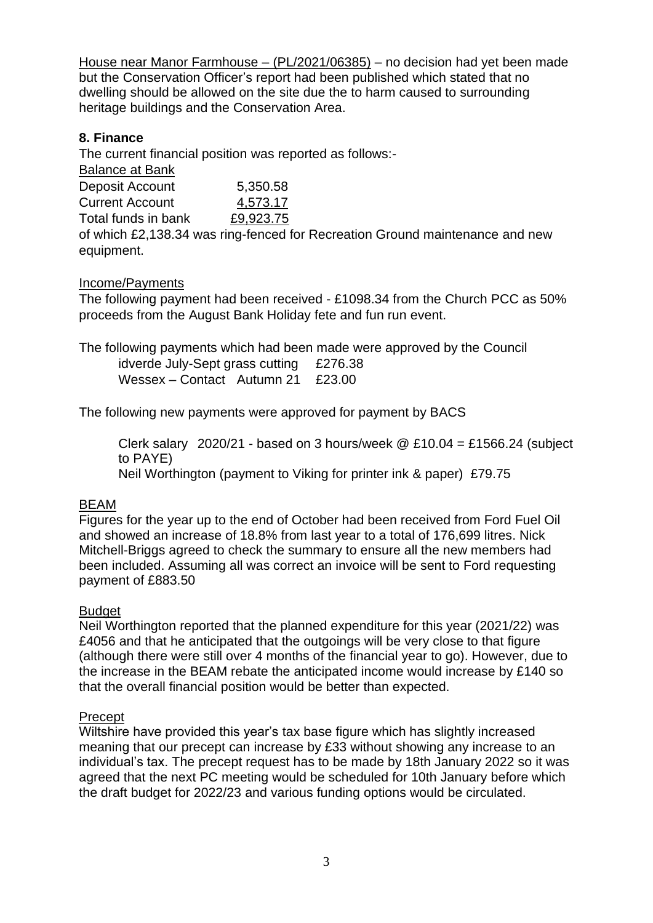House near Manor Farmhouse – (PL/2021/06385) – no decision had yet been made but the Conservation Officer's report had been published which stated that no dwelling should be allowed on the site due the to harm caused to surrounding heritage buildings and the Conservation Area.

# **8. Finance**

The current financial position was reported as follows:-

| <b>Balance at Bank</b> |           |
|------------------------|-----------|
| Deposit Account        | 5,350.58  |
| <b>Current Account</b> | 4,573.17  |
| Total funds in bank    | £9,923.75 |

of which £2,138.34 was ring-fenced for Recreation Ground maintenance and new equipment.

Income/Payments

The following payment had been received - £1098.34 from the Church PCC as 50% proceeds from the August Bank Holiday fete and fun run event.

The following payments which had been made were approved by the Council

idverde July-Sept grass cutting £276.38 Wessex – Contact Autumn 21 £23.00

The following new payments were approved for payment by BACS

Clerk salary  $2020/21$  - based on 3 hours/week @ £10.04 = £1566.24 (subject to PAYE) Neil Worthington (payment to Viking for printer ink & paper) £79.75

# BEAM

Figures for the year up to the end of October had been received from Ford Fuel Oil and showed an increase of 18.8% from last year to a total of 176,699 litres. Nick Mitchell-Briggs agreed to check the summary to ensure all the new members had been included. Assuming all was correct an invoice will be sent to Ford requesting payment of £883.50

# Budget

Neil Worthington reported that the planned expenditure for this year (2021/22) was £4056 and that he anticipated that the outgoings will be very close to that figure (although there were still over 4 months of the financial year to go). However, due to the increase in the BEAM rebate the anticipated income would increase by £140 so that the overall financial position would be better than expected.

# **Precept**

Wiltshire have provided this year's tax base figure which has slightly increased meaning that our precept can increase by £33 without showing any increase to an individual's tax. The precept request has to be made by 18th January 2022 so it was agreed that the next PC meeting would be scheduled for 10th January before which the draft budget for 2022/23 and various funding options would be circulated.